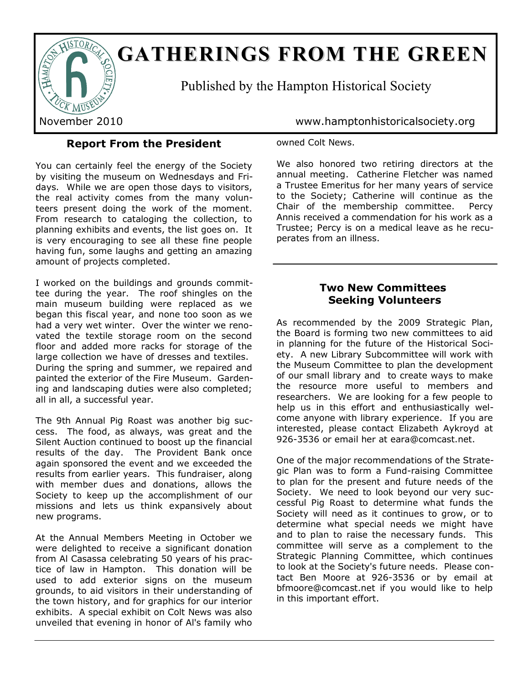

# **GATHERINGS FROM THE GREEN**

Published by the Hampton Historical Society

**Report From the President**

You can certainly feel the energy of the Society by visiting the museum on Wednesdays and Fridays. While we are open those days to visitors, the real activity comes from the many volunteers present doing the work of the moment. From research to cataloging the collection, to planning exhibits and events, the list goes on. It is very encouraging to see all these fine people having fun, some laughs and getting an amazing amount of projects completed.

I worked on the buildings and grounds committee during the year. The roof shingles on the main museum building were replaced as we began this fiscal year, and none too soon as we had a very wet winter. Over the winter we renovated the textile storage room on the second floor and added more racks for storage of the large collection we have of dresses and textiles. During the spring and summer, we repaired and painted the exterior of the Fire Museum. Gardening and landscaping duties were also completed; all in all, a successful year.

The 9th Annual Pig Roast was another big success. The food, as always, was great and the Silent Auction continued to boost up the financial results of the day. The Provident Bank once again sponsored the event and we exceeded the results from earlier years. This fundraiser, along with member dues and donations, allows the Society to keep up the accomplishment of our missions and lets us think expansively about new programs.

At the Annual Members Meeting in October we were delighted to receive a significant donation from Al Casassa celebrating 50 years of his practice of law in Hampton. This donation will be used to add exterior signs on the museum grounds, to aid visitors in their understanding of the town history, and for graphics for our interior exhibits. A special exhibit on Colt News was also unveiled that evening in honor of Al's family who

November 2010 www.hamptonhistoricalsociety.org

## owned Colt News.

We also honored two retiring directors at the annual meeting. Catherine Fletcher was named a Trustee Emeritus for her many years of service to the Society; Catherine will continue as the Chair of the membership committee. Percy Annis received a commendation for his work as a Trustee; Percy is on a medical leave as he recuperates from an illness.

## **Two New Committees Seeking Volunteers**

As recommended by the 2009 Strategic Plan, the Board is forming two new committees to aid in planning for the future of the Historical Society. A new Library Subcommittee will work with the Museum Committee to plan the development of our small library and to create ways to make the resource more useful to members and researchers. We are looking for a few people to help us in this effort and enthusiastically welcome anyone with library experience. If you are interested, please contact Elizabeth Aykroyd at 926-3536 or email her at eara@comcast.net.

One of the major recommendations of the Strategic Plan was to form a Fund-raising Committee to plan for the present and future needs of the Society. We need to look beyond our very successful Pig Roast to determine what funds the Society will need as it continues to grow, or to determine what special needs we might have and to plan to raise the necessary funds. This committee will serve as a complement to the Strategic Planning Committee, which continues to look at the Society's future needs. Please contact Ben Moore at 926-3536 or by email at bfmoore@comcast.net if you would like to help in this important effort.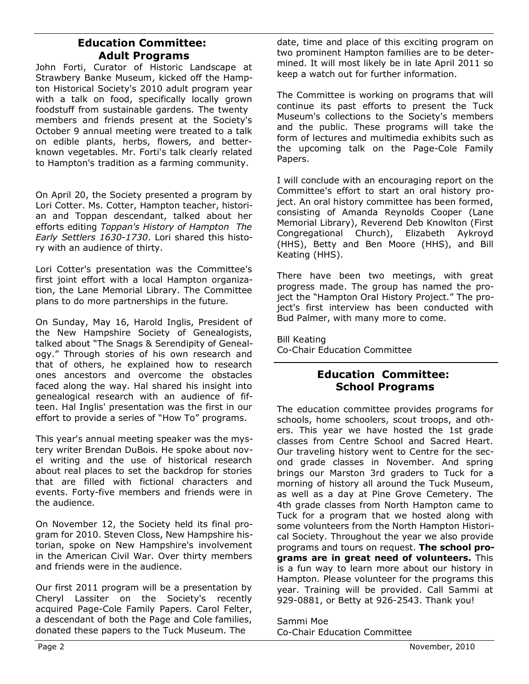# **Education Committee: Adult Programs**

John Forti, Curator of Historic Landscape at Strawbery Banke Museum, kicked off the Hampton Historical Society's 2010 adult program year with a talk on food, specifically locally grown foodstuff from sustainable gardens. The twenty members and friends present at the Society's October 9 annual meeting were treated to a talk on edible plants, herbs, flowers, and betterknown vegetables. Mr. Forti's talk clearly related to Hampton's tradition as a farming community.

On April 20, the Society presented a program by Lori Cotter. Ms. Cotter, Hampton teacher, historian and Toppan descendant, talked about her efforts editing *Toppan's History of Hampton The Early Settlers 1630-1730*. Lori shared this history with an audience of thirty.

Lori Cotter's presentation was the Committee's first joint effort with a local Hampton organization, the Lane Memorial Library. The Committee plans to do more partnerships in the future.

On Sunday, May 16, Harold Inglis, President of the New Hampshire Society of Genealogists, talked about "The Snags & Serendipity of Genealogy." Through stories of his own research and that of others, he explained how to research ones ancestors and overcome the obstacles faced along the way. Hal shared his insight into genealogical research with an audience of fifteen. Hal Inglis' presentation was the first in our effort to provide a series of "How To" programs.

This year's annual meeting speaker was the mystery writer Brendan DuBois. He spoke about novel writing and the use of historical research about real places to set the backdrop for stories that are filled with fictional characters and events. Forty-five members and friends were in the audience.

On November 12, the Society held its final program for 2010. Steven Closs, New Hampshire historian, spoke on New Hampshire's involvement in the American Civil War. Over thirty members and friends were in the audience.

Our first 2011 program will be a presentation by Cheryl Lassiter on the Society's recently acquired Page-Cole Family Papers. Carol Felter, a descendant of both the Page and Cole families, donated these papers to the Tuck Museum. The

date, time and place of this exciting program on two prominent Hampton families are to be determined. It will most likely be in late April 2011 so keep a watch out for further information.

The Committee is working on programs that will continue its past efforts to present the Tuck Museum's collections to the Society's members and the public. These programs will take the form of lectures and multimedia exhibits such as the upcoming talk on the Page-Cole Family Papers.

I will conclude with an encouraging report on the Committee's effort to start an oral history project. An oral history committee has been formed, consisting of Amanda Reynolds Cooper (Lane Memorial Library), Reverend Deb Knowlton (First Congregational Church), Elizabeth Aykroyd (HHS), Betty and Ben Moore (HHS), and Bill Keating (HHS).

There have been two meetings, with great progress made. The group has named the project the "Hampton Oral History Project." The project's first interview has been conducted with Bud Palmer, with many more to come.

Bill Keating Co-Chair Education Committee

# **Education Committee: School Programs**

The education committee provides programs for schools, home schoolers, scout troops, and others. This year we have hosted the 1st grade classes from Centre School and Sacred Heart. Our traveling history went to Centre for the second grade classes in November. And spring brings our Marston 3rd graders to Tuck for a morning of history all around the Tuck Museum, as well as a day at Pine Grove Cemetery. The 4th grade classes from North Hampton came to Tuck for a program that we hosted along with some volunteers from the North Hampton Historical Society. Throughout the year we also provide programs and tours on request. **The school programs are in great need of volunteers.** This is a fun way to learn more about our history in Hampton. Please volunteer for the programs this year. Training will be provided. Call Sammi at 929-0881, or Betty at 926-2543. Thank you!

Sammi Moe Co-Chair Education Committee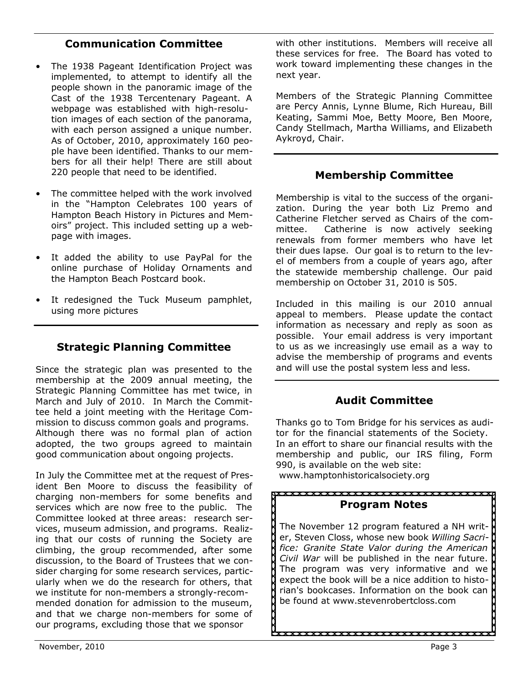# **Communication Committee**

- The 1938 Pageant Identification Project was implemented, to attempt to identify all the people shown in the panoramic image of the Cast of the 1938 Tercentenary Pageant. A webpage was established with high-resolution images of each section of the panorama, with each person assigned a unique number. As of October, 2010, approximately 160 people have been identified. Thanks to our members for all their help! There are still about 220 people that need to be identified.
- The committee helped with the work involved in the "Hampton Celebrates 100 years of Hampton Beach History in Pictures and Memoirs" project. This included setting up a webpage with images.
- It added the ability to use PayPal for the online purchase of Holiday Ornaments and the Hampton Beach Postcard book.
- It redesigned the Tuck Museum pamphlet, using more pictures

# **Strategic Planning Committee**

Since the strategic plan was presented to the membership at the 2009 annual meeting, the Strategic Planning Committee has met twice, in March and July of 2010. In March the Committee held a joint meeting with the Heritage Commission to discuss common goals and programs. Although there was no formal plan of action adopted, the two groups agreed to maintain good communication about ongoing projects.

In July the Committee met at the request of President Ben Moore to discuss the feasibility of charging non-members for some benefits and services which are now free to the public. The Committee looked at three areas: research services, museum admission, and programs. Realizing that our costs of running the Society are climbing, the group recommended, after some discussion, to the Board of Trustees that we consider charging for some research services, particularly when we do the research for others, that we institute for non-members a strongly-recommended donation for admission to the museum, and that we charge non-members for some of our programs, excluding those that we sponsor

with other institutions. Members will receive all these services for free. The Board has voted to work toward implementing these changes in the next year.

Members of the Strategic Planning Committee are Percy Annis, Lynne Blume, Rich Hureau, Bill Keating, Sammi Moe, Betty Moore, Ben Moore, Candy Stellmach, Martha Williams, and Elizabeth Aykroyd, Chair.

# **Membership Committee**

Membership is vital to the success of the organization. During the year both Liz Premo and Catherine Fletcher served as Chairs of the committee. Catherine is now actively seeking renewals from former members who have let their dues lapse. Our goal is to return to the level of members from a couple of years ago, after the statewide membership challenge. Our paid membership on October 31, 2010 is 505.

Included in this mailing is our 2010 annual appeal to members. Please update the contact information as necessary and reply as soon as possible. Your email address is very important to us as we increasingly use email as a way to advise the membership of programs and events and will use the postal system less and less.

# **Audit Committee**

Thanks go to Tom Bridge for his services as auditor for the financial statements of the Society. In an effort to share our financial results with the membership and public, our IRS filing, Form 990, is available on the web site:

www.hamptonhistoricalsociety.org

#### **Program Notes**

The November 12 program featured a NH writer, Steven Closs, whose new book *Willing Sacrifice: Granite State Valor during the American Civil War* will be published in the near future. The program was very informative and we expect the book will be a nice addition to historian's bookcases. Information on the book can be found at www.stevenrobertcloss.com

U<br>AXXXXXXXXXXXXXXXXXXXXXX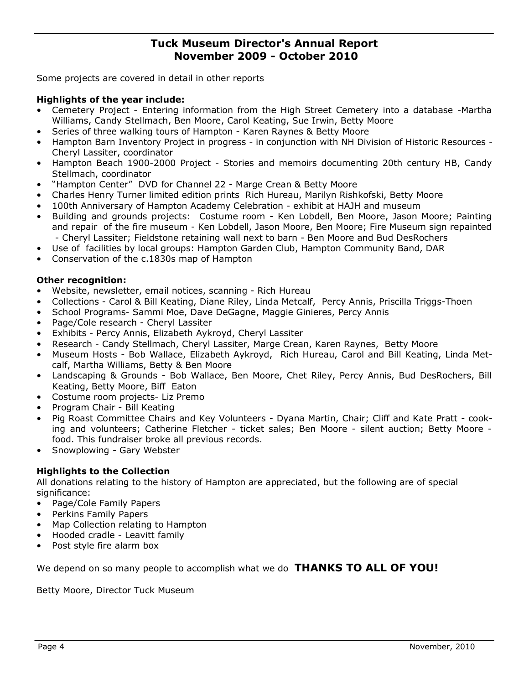## **Tuck Museum Director's Annual Report November 2009 - October 2010**

Some projects are covered in detail in other reports

## **Highlights of the year include:**

- Cemetery Project Entering information from the High Street Cemetery into a database -Martha Williams, Candy Stellmach, Ben Moore, Carol Keating, Sue Irwin, Betty Moore
- Series of three walking tours of Hampton Karen Raynes & Betty Moore
- Hampton Barn Inventory Project in progress in conjunction with NH Division of Historic Resources Cheryl Lassiter, coordinator
- Hampton Beach 1900-2000 Project Stories and memoirs documenting 20th century HB, Candy Stellmach, coordinator
- "Hampton Center" DVD for Channel 22 Marge Crean & Betty Moore
- Charles Henry Turner limited edition prints Rich Hureau, Marilyn Rishkofski, Betty Moore
- 100th Anniversary of Hampton Academy Celebration exhibit at HAJH and museum
- Building and grounds projects: Costume room Ken Lobdell, Ben Moore, Jason Moore; Painting and repair of the fire museum - Ken Lobdell, Jason Moore, Ben Moore; Fire Museum sign repainted - Cheryl Lassiter; Fieldstone retaining wall next to barn - Ben Moore and Bud DesRochers
- Use of facilities by local groups: Hampton Garden Club, Hampton Community Band, DAR
- Conservation of the c.1830s map of Hampton

## **Other recognition:**

- Website, newsletter, email notices, scanning Rich Hureau
- Collections Carol & Bill Keating, Diane Riley, Linda Metcalf, Percy Annis, Priscilla Triggs-Thoen
- School Programs- Sammi Moe, Dave DeGagne, Maggie Ginieres, Percy Annis
- Page/Cole research Cheryl Lassiter
- Exhibits Percy Annis, Elizabeth Aykroyd, Cheryl Lassiter
- Research Candy Stellmach, Cheryl Lassiter, Marge Crean, Karen Raynes, Betty Moore
- Museum Hosts Bob Wallace, Elizabeth Aykroyd, Rich Hureau, Carol and Bill Keating, Linda Metcalf, Martha Williams, Betty & Ben Moore
- Landscaping & Grounds Bob Wallace, Ben Moore, Chet Riley, Percy Annis, Bud DesRochers, Bill Keating, Betty Moore, Biff Eaton
- Costume room projects- Liz Premo
- Program Chair Bill Keating
- Pig Roast Committee Chairs and Key Volunteers Dyana Martin, Chair; Cliff and Kate Pratt cooking and volunteers; Catherine Fletcher - ticket sales; Ben Moore - silent auction; Betty Moore food. This fundraiser broke all previous records.
- Snowplowing Gary Webster

## **Highlights to the Collection**

All donations relating to the history of Hampton are appreciated, but the following are of special significance:

- Page/Cole Family Papers
- Perkins Family Papers
- Map Collection relating to Hampton
- Hooded cradle Leavitt family
- Post style fire alarm box

We depend on so many people to accomplish what we do **THANKS TO ALL OF YOU!**

Betty Moore, Director Tuck Museum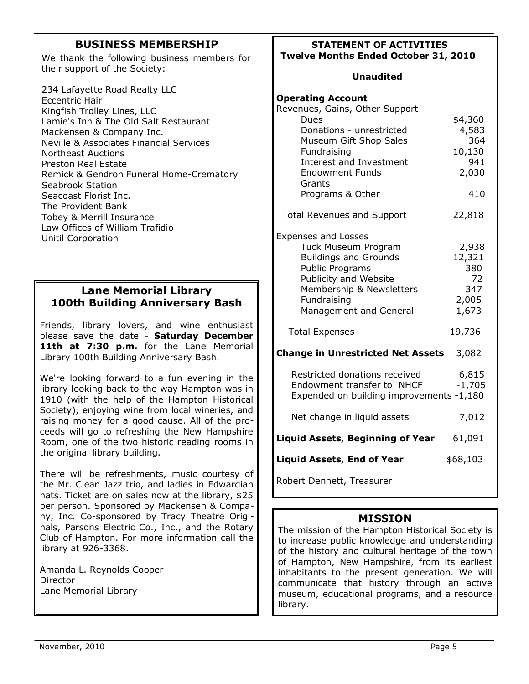# **BUSINESS MEMBERSHIP**

We thank the following business members for their support of the Society:

234 Lafayette Road Realty LLC Eccentric Hair Kingfish Trolley Lines, LLC Lamie's Inn & The Old Salt Restaurant Mackensen & Company Inc. Neville & Associates Financial Services Northeast Auctions Preston Real Estate Remick & Gendron Funeral Home-Crematory Seabrook Station Seacoast Florist Inc. The Provident Bank Tobey & Merrill Insurance Law Offices of William Trafidio Unitil Corporation

# **Lane Memorial Library 100th Building Anniversary Bash**

Friends, library lovers, and wine enthusiast please save the date - **Saturday December**  11th at 7:30 p.m. for the Lane Memorial Library 100th Building Anniversary Bash.

We're looking forward to a fun evening in the library looking back to the way Hampton was in 1910 (with the help of the Hampton Historical Society), enjoying wine from local wineries, and raising money for a good cause. All of the proceeds will go to refreshing the New Hampshire Room, one of the two historic reading rooms in the original library building.

There will be refreshments, music courtesy of the Mr. Clean Jazz trio, and ladies in Edwardian hats. Ticket are on sales now at the library, \$25 per person. Sponsored by Mackensen & Company, Inc. Co-sponsored by Tracy Theatre Originals, Parsons Electric Co., Inc., and the Rotary Club of Hampton. For more information call the library at 926-3368.

Amanda L. Reynolds Cooper **Director** Lane Memorial Library

#### **STATEMENT OF ACTIVITIES Twelve Months Ended October 31, 2010**

#### **Unaudited**

| <b>Operating Account</b>                                                                                                                                                                                     |                                                          |
|--------------------------------------------------------------------------------------------------------------------------------------------------------------------------------------------------------------|----------------------------------------------------------|
| Revenues, Gains, Other Support<br><b>Dues</b><br>Donations - unrestricted<br>Museum Gift Shop Sales<br>Fundraising<br><b>Interest and Investment</b><br><b>Endowment Funds</b><br>Grants<br>Programs & Other | \$4,360<br>4,583<br>364<br>10,130<br>941<br>2,030<br>410 |
|                                                                                                                                                                                                              |                                                          |
| <b>Total Revenues and Support</b>                                                                                                                                                                            | 22,818                                                   |
| <b>Expenses and Losses</b><br>Tuck Museum Program<br><b>Buildings and Grounds</b><br><b>Public Programs</b><br>Publicity and Website<br>Membership & Newsletters<br>Fundraising<br>Management and General    | 2,938<br>12,321<br>380<br>72<br>347<br>2,005<br>1,673    |
| <b>Total Expenses</b>                                                                                                                                                                                        | 19,736                                                   |
| <b>Change in Unrestricted Net Assets</b>                                                                                                                                                                     | 3,082                                                    |
| Restricted donations received<br>Endowment transfer to NHCF<br>Expended on building improvements -1,180                                                                                                      | 6,815<br>$-1,705$                                        |
| Net change in liquid assets                                                                                                                                                                                  | 7,012                                                    |
| <b>Liquid Assets, Beginning of Year</b>                                                                                                                                                                      | 61,091                                                   |
| <b>Liquid Assets, End of Year</b>                                                                                                                                                                            | \$68,103                                                 |
| Robert Dennett, Treasurer                                                                                                                                                                                    |                                                          |

## **MISSION**

The mission of the Hampton Historical Society is to increase public knowledge and understanding of the history and cultural heritage of the town of Hampton, New Hampshire, from its earliest inhabitants to the present generation. We will communicate that history through an active museum, educational programs, and a resource library.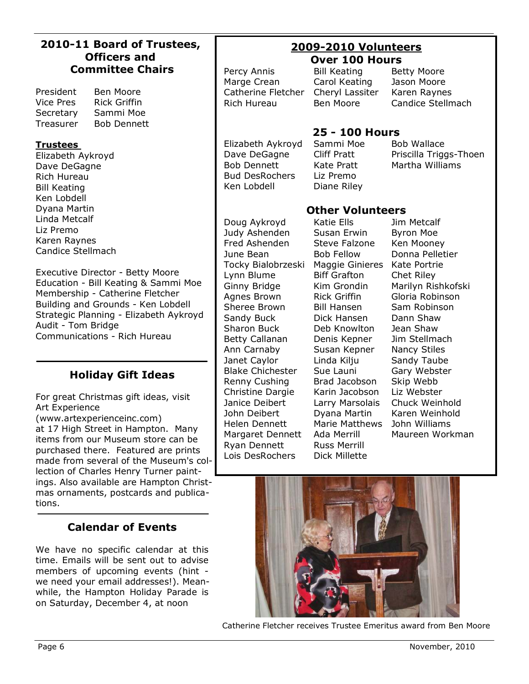| 2010-11 Board of Trustees,                                                                                                                                                                                                                                                                                           | <b>2009-2010 Volunteers</b>                                                                                                                                                                                                  |                                                                                                                                                                                                                                                     |                                                                                                                                                                                                                                   |
|----------------------------------------------------------------------------------------------------------------------------------------------------------------------------------------------------------------------------------------------------------------------------------------------------------------------|------------------------------------------------------------------------------------------------------------------------------------------------------------------------------------------------------------------------------|-----------------------------------------------------------------------------------------------------------------------------------------------------------------------------------------------------------------------------------------------------|-----------------------------------------------------------------------------------------------------------------------------------------------------------------------------------------------------------------------------------|
| <b>Officers and</b>                                                                                                                                                                                                                                                                                                  | <b>Over 100 Hours</b>                                                                                                                                                                                                        |                                                                                                                                                                                                                                                     |                                                                                                                                                                                                                                   |
| <b>Committee Chairs</b><br>Ben Moore<br>President<br><b>Rick Griffin</b><br><b>Vice Pres</b><br>Sammi Moe<br>Secretary                                                                                                                                                                                               | Percy Annis<br>Marge Crean<br>Catherine Fletcher<br>Rich Hureau                                                                                                                                                              | <b>Bill Keating</b><br>Carol Keating<br>Cheryl Lassiter<br>Ben Moore                                                                                                                                                                                | <b>Betty Moore</b><br>Jason Moore<br>Karen Raynes<br>Candice Stellmach                                                                                                                                                            |
| Treasurer<br><b>Bob Dennett</b>                                                                                                                                                                                                                                                                                      |                                                                                                                                                                                                                              |                                                                                                                                                                                                                                                     |                                                                                                                                                                                                                                   |
| <b>Trustees</b><br>Elizabeth Aykroyd<br>Dave DeGagne<br>Rich Hureau<br><b>Bill Keating</b><br>Ken Lobdell                                                                                                                                                                                                            | Elizabeth Aykroyd<br>Dave DeGagne<br><b>Bob Dennett</b><br><b>Bud DesRochers</b><br>Ken Lobdell                                                                                                                              | <b>25 - 100 Hours</b><br>Sammi Moe<br>Cliff Pratt<br>Kate Pratt<br>Liz Premo<br>Diane Riley                                                                                                                                                         | <b>Bob Wallace</b><br>Priscilla Triggs-Thoen<br>Martha Williams                                                                                                                                                                   |
| Dyana Martin                                                                                                                                                                                                                                                                                                         |                                                                                                                                                                                                                              | <b>Other Volunteers</b>                                                                                                                                                                                                                             |                                                                                                                                                                                                                                   |
| Linda Metcalf<br>Liz Premo<br>Karen Raynes<br>Candice Stellmach<br>Executive Director - Betty Moore<br>Education - Bill Keating & Sammi Moe<br>Membership - Catherine Fletcher<br>Building and Grounds - Ken Lobdell<br>Strategic Planning - Elizabeth Aykroyd<br>Audit - Tom Bridge<br>Communications - Rich Hureau | Doug Aykroyd<br>Judy Ashenden<br>Fred Ashenden<br>June Bean<br>Tocky Bialobrzeski<br>Lynn Blume<br>Ginny Bridge<br>Agnes Brown<br>Sheree Brown<br>Sandy Buck<br>Sharon Buck<br>Betty Callanan<br>Ann Carnaby<br>Janet Caylor | Katie Ells<br>Susan Erwin<br>Steve Falzone<br><b>Bob Fellow</b><br>Maggie Ginieres<br><b>Biff Grafton</b><br>Kim Grondin<br><b>Rick Griffin</b><br><b>Bill Hansen</b><br>Dick Hansen<br>Deb Knowlton<br>Denis Kepner<br>Susan Kepner<br>Linda Kilju | Jim Metcalf<br><b>Byron Moe</b><br>Ken Mooney<br>Donna Pelletier<br>Kate Portrie<br>Chet Riley<br>Marilyn Rishkofski<br>Gloria Robinson<br>Sam Robinson<br>Dann Shaw<br>Jean Shaw<br>Jim Stellmach<br>Nancy Stiles<br>Sandy Taube |
| <b>Holiday Gift Ideas</b>                                                                                                                                                                                                                                                                                            | <b>Blake Chichester</b>                                                                                                                                                                                                      | Sue Launi                                                                                                                                                                                                                                           | Gary Webster                                                                                                                                                                                                                      |
| For great Christmas gift ideas, visit<br>Art Experience<br>(www.artexperienceinc.com)<br>at 17 High Street in Hampton. Many<br>items from our Museum store can be<br>purchased there. Featured are prints<br>made from several of the Museum's col-<br>lection of Charles Henry Turner paint-                        | Renny Cushing<br>Christine Dargie<br>Janice Deibert<br>John Deibert<br>Helen Dennett<br>Margaret Dennett<br>Ryan Dennett<br>Lois DesRochers                                                                                  | Brad Jacobson<br>Karin Jacobson<br>Larry Marsolais<br>Dyana Martin<br><b>Marie Matthews</b><br>Ada Merrill<br><b>Russ Merrill</b><br>Dick Millette                                                                                                  | Skip Webb<br>Liz Webster<br>Chuck Weinhold<br>Karen Weinhold<br>John Williams<br>Maureen Workman                                                                                                                                  |
| ings. Also available are Hampton Christ-<br>mas ornaments, postcards and publica-<br>tions.                                                                                                                                                                                                                          |                                                                                                                                                                                                                              |                                                                                                                                                                                                                                                     |                                                                                                                                                                                                                                   |
| <b>Calendar of Events</b>                                                                                                                                                                                                                                                                                            |                                                                                                                                                                                                                              |                                                                                                                                                                                                                                                     |                                                                                                                                                                                                                                   |

We have no specific calendar at this time. Emails will be sent out to advise members of upcoming events (hint we need your email addresses!). Meanwhile, the Hampton Holiday Parade is on Saturday, December 4, at noon

Catherine Fletcher receives Trustee Emeritus award from Ben Moore